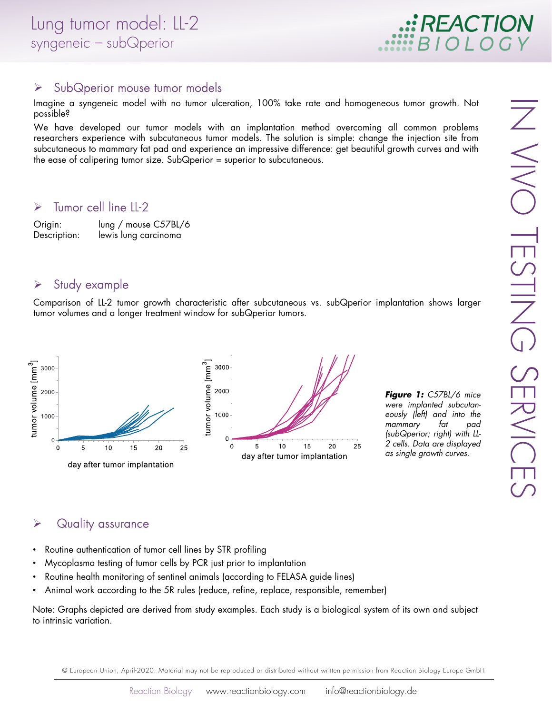

#### > SubQperior mouse tumor models

Imagine a syngeneic model with no tumor ulceration, 100% take rate and homogeneous tumor growth. Not possible?

We have developed our tumor models with an implantation method overcoming all common problems researchers experience with subcutaneous tumor models. The solution is simple: change the injection site from subcutaneous to mammary fat pad and experience an impressive difference: get beautiful growth curves and with the ease of calipering tumor size. SubQperior = superior to subcutaneous.

#### $\triangleright$  Tumor cell line LL-2

Origin: lung / mouse C57BL/6 Description: lewis lung carcinoma

### $\triangleright$  Study example

Comparison of LL-2 tumor growth characteristic after subcutaneous vs. subQperior implantation shows larger tumor volumes and a longer treatment window for subQperior tumors.



*Figure 1:* C57BL/6 mice were implanted subcutaneously (left) and into the mammary fat (subQperior; right) with LL-2 cells. Data are displayed as single growth curves.

### $\triangleright$  Quality assurance

- Routine authentication of tumor cell lines by STR profiling
- Mycoplasma testing of tumor cells by PCR just prior to implantation
- Routine health monitoring of sentinel animals (according to FELASA guide lines)
- Animal work according to the 5R rules (reduce, refine, replace, responsible, remember)

Note: Graphs depicted are derived from study examples. Each study is a biological system of its own and subject to intrinsic variation.

© European Union, April-2020. Material may not be reproduced or distributed without written permission from Reaction Biology Europe GmbH